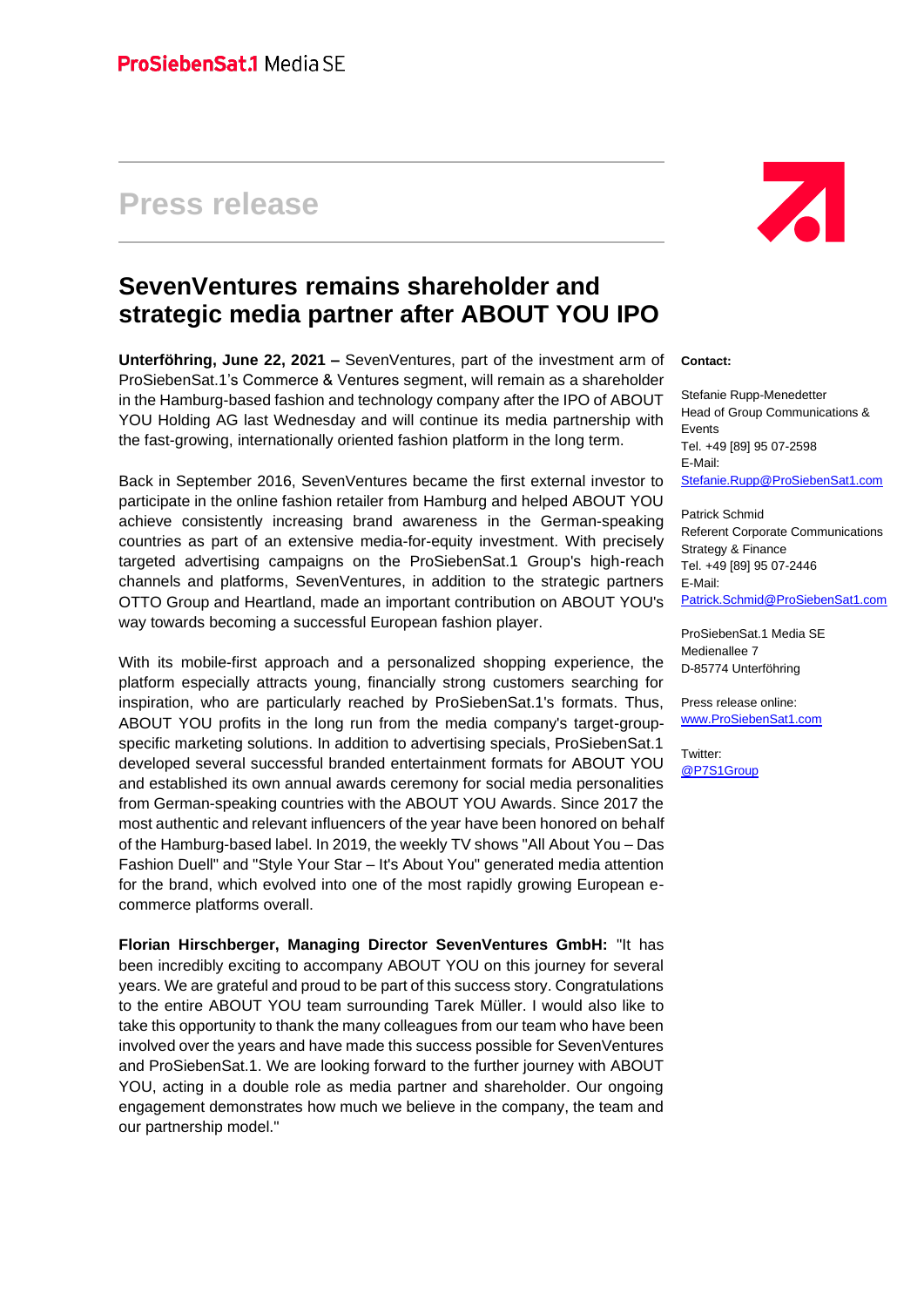## **Press release**



## **SevenVentures remains shareholder and strategic media partner after ABOUT YOU IPO**

**Unterföhring, June 22, 2021 –** SevenVentures, part of the investment arm of ProSiebenSat.1's Commerce & Ventures segment, will remain as a shareholder in the Hamburg-based fashion and technology company after the IPO of ABOUT YOU Holding AG last Wednesday and will continue its media partnership with the fast-growing, internationally oriented fashion platform in the long term.

Back in September 2016, SevenVentures became the first external investor to participate in the online fashion retailer from Hamburg and helped ABOUT YOU achieve consistently increasing brand awareness in the German-speaking countries as part of an extensive media-for-equity investment. With precisely targeted advertising campaigns on the ProSiebenSat.1 Group's high-reach channels and platforms, SevenVentures, in addition to the strategic partners OTTO Group and Heartland, made an important contribution on ABOUT YOU's way towards becoming a successful European fashion player.

With its mobile-first approach and a personalized shopping experience, the platform especially attracts young, financially strong customers searching for inspiration, who are particularly reached by ProSiebenSat.1's formats. Thus, ABOUT YOU profits in the long run from the media company's target-groupspecific marketing solutions. In addition to advertising specials, ProSiebenSat.1 developed several successful branded entertainment formats for ABOUT YOU and established its own annual awards ceremony for social media personalities from German-speaking countries with the ABOUT YOU Awards. Since 2017 the most authentic and relevant influencers of the year have been honored on behalf of the Hamburg-based label. In 2019, the weekly TV shows "All About You – Das Fashion Duell" and "Style Your Star – It's About You" generated media attention for the brand, which evolved into one of the most rapidly growing European ecommerce platforms overall.

**Florian Hirschberger, Managing Director SevenVentures GmbH:** "It has been incredibly exciting to accompany ABOUT YOU on this journey for several years. We are grateful and proud to be part of this success story. Congratulations to the entire ABOUT YOU team surrounding Tarek Müller. I would also like to take this opportunity to thank the many colleagues from our team who have been involved over the years and have made this success possible for SevenVentures and ProSiebenSat.1. We are looking forward to the further journey with ABOUT YOU, acting in a double role as media partner and shareholder. Our ongoing engagement demonstrates how much we believe in the company, the team and our partnership model."

## **Contact:**

Stefanie Rupp-Menedetter Head of Group Communications & Events Tel. +49 [89] 95 07-2598 E-Mail: [Stefanie.Rupp@ProSiebenSat1.com](mailto:Stefanie.Rupp@ProSiebenSat1.com)

Patrick Schmid Referent Corporate Communications Strategy & Finance Tel. +49 [89] 95 07-2446 E-Mail: [Patrick.Schmid@ProSiebenSat1.com](mailto:Patrick.Schmid@ProSiebenSat1.com)

ProSiebenSat.1 Media SE Medienallee 7 D-85774 Unterföhring

Press release online: [www.ProSiebenSat1.com](http://www.prosiebensat1.com/)

Twitter: [@P7S1Group](https://twitter.com/P7S1Group)